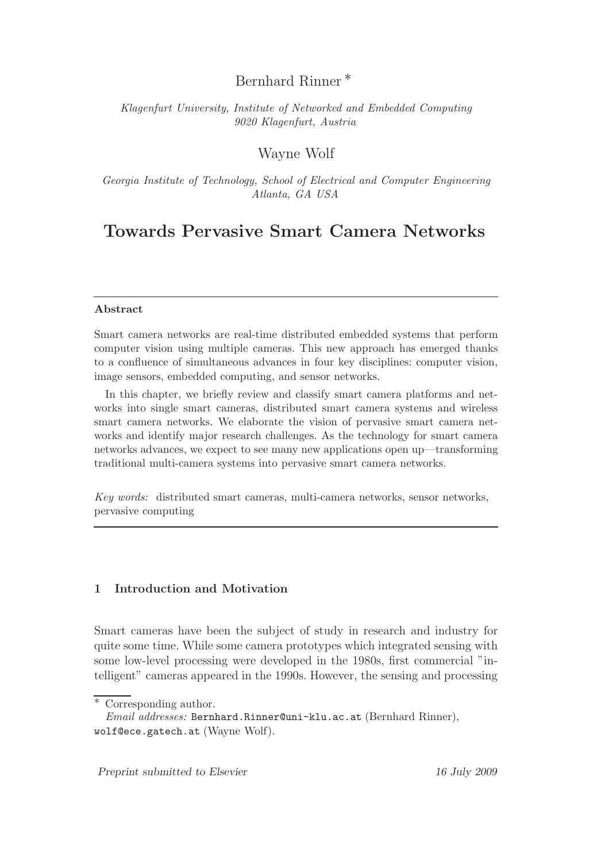## Bernhard Rinner ∗

*Klagenfurt University, Institute of Networked and Embedded Computing 9020 Klagenfurt, Austria*

## Wayne Wolf

*Georgia Institute of Technology, School of Electrical and Computer Engineering Atlanta, GA USA*

# **Towards Pervasive Smart Camera Networks**

#### **Abstract**

Smart camera networks are real-time distributed embedded systems that perform computer vision using multiple cameras. This new approach has emerged thanks to a confluence of simultaneous advances in four key disciplines: computer vision, image sensors, embedded computing, and sensor networks.

In this chapter, we briefly review and classify smart camera platforms and networks into single smart cameras, distributed smart camera systems and wireless smart camera networks. We elaborate the vision of pervasive smart camera networks and identify major research challenges. As the technology for smart camera networks advances, we expect to see many new applications open up—transforming traditional multi-camera systems into pervasive smart camera networks.

*Key words:* distributed smart cameras, multi-camera networks, sensor networks, pervasive computing

#### **1 Introduction and Motivation**

Smart cameras have been the subject of study in research and industry for quite some time. While some camera prototypes which integrated sensing with some low-level processing were developed in the 1980s, first commercial "intelligent" cameras appeared in the 1990s. However, the sensing and processing

Corresponding author.

*Email addresses:* Bernhard.Rinner@uni-klu.ac.at (Bernhard Rinner), wolf@ece.gatech.at (Wayne Wolf).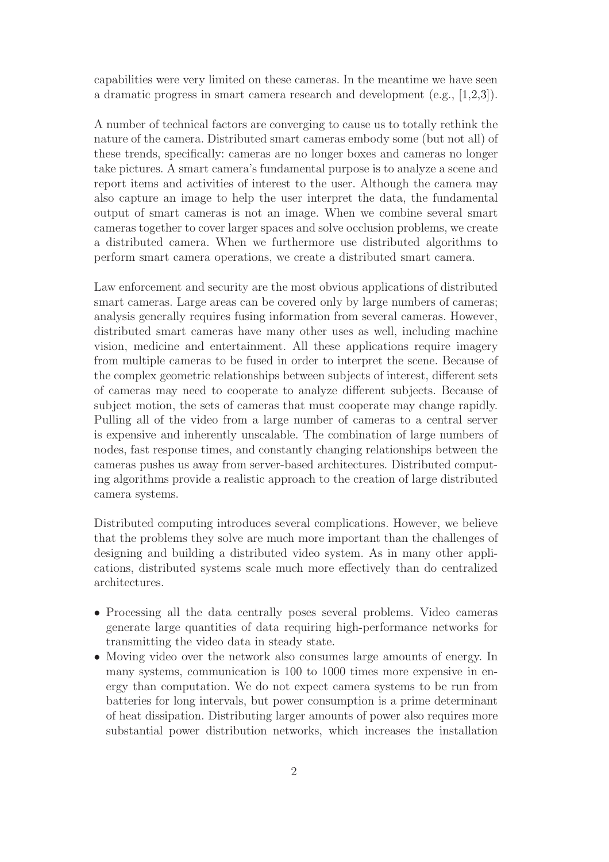capabilities were very limited on these cameras. In the meantime we have seen a dramatic progress in smart camera research and development (e.g., [\[1](#page-14-0)[,2,](#page-14-1)[3\]](#page-14-2)).

A number of technical factors are converging to cause us to totally rethink the nature of the camera. Distributed smart cameras embody some (but not all) of these trends, specifically: cameras are no longer boxes and cameras no longer take pictures. A smart camera's fundamental purpose is to analyze a scene and report items and activities of interest to the user. Although the camera may also capture an image to help the user interpret the data, the fundamental output of smart cameras is not an image. When we combine several smart cameras together to cover larger spaces and solve occlusion problems, we create a distributed camera. When we furthermore use distributed algorithms to perform smart camera operations, we create a distributed smart camera.

Law enforcement and security are the most obvious applications of distributed smart cameras. Large areas can be covered only by large numbers of cameras; analysis generally requires fusing information from several cameras. However, distributed smart cameras have many other uses as well, including machine vision, medicine and entertainment. All these applications require imagery from multiple cameras to be fused in order to interpret the scene. Because of the complex geometric relationships between subjects of interest, different sets of cameras may need to cooperate to analyze different subjects. Because of subject motion, the sets of cameras that must cooperate may change rapidly. Pulling all of the video from a large number of cameras to a central server is expensive and inherently unscalable. The combination of large numbers of nodes, fast response times, and constantly changing relationships between the cameras pushes us away from server-based architectures. Distributed computing algorithms provide a realistic approach to the creation of large distributed camera systems.

Distributed computing introduces several complications. However, we believe that the problems they solve are much more important than the challenges of designing and building a distributed video system. As in many other applications, distributed systems scale much more effectively than do centralized architectures.

- Processing all the data centrally poses several problems. Video cameras generate large quantities of data requiring high-performance networks for transmitting the video data in steady state.
- Moving video over the network also consumes large amounts of energy. In many systems, communication is 100 to 1000 times more expensive in energy than computation. We do not expect camera systems to be run from batteries for long intervals, but power consumption is a prime determinant of heat dissipation. Distributing larger amounts of power also requires more substantial power distribution networks, which increases the installation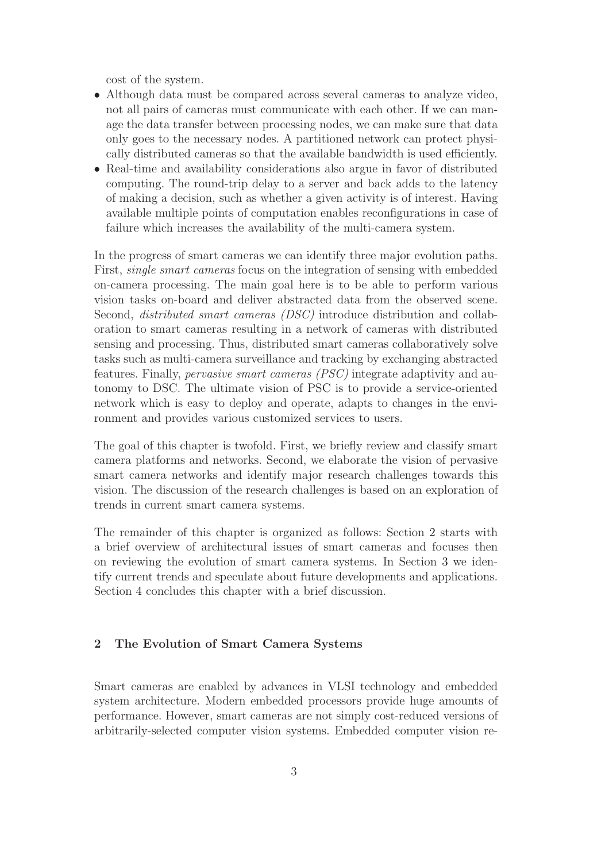cost of the system.

- Although data must be compared across several cameras to analyze video, not all pairs of cameras must communicate with each other. If we can manage the data transfer between processing nodes, we can make sure that data only goes to the necessary nodes. A partitioned network can protect physically distributed cameras so that the available bandwidth is used efficiently.
- Real-time and availability considerations also argue in favor of distributed computing. The round-trip delay to a server and back adds to the latency of making a decision, such as whether a given activity is of interest. Having available multiple points of computation enables reconfigurations in case of failure which increases the availability of the multi-camera system.

In the progress of smart cameras we can identify three major evolution paths. First, *single smart cameras* focus on the integration of sensing with embedded on-camera processing. The main goal here is to be able to perform various vision tasks on-board and deliver abstracted data from the observed scene. Second, *distributed smart cameras (DSC)* introduce distribution and collaboration to smart cameras resulting in a network of cameras with distributed sensing and processing. Thus, distributed smart cameras collaboratively solve tasks such as multi-camera surveillance and tracking by exchanging abstracted features. Finally, *pervasive smart cameras (PSC)* integrate adaptivity and autonomy to DSC. The ultimate vision of PSC is to provide a service-oriented network which is easy to deploy and operate, adapts to changes in the environment and provides various customized services to users.

The goal of this chapter is twofold. First, we briefly review and classify smart camera platforms and networks. Second, we elaborate the vision of pervasive smart camera networks and identify major research challenges towards this vision. The discussion of the research challenges is based on an exploration of trends in current smart camera systems.

The remainder of this chapter is organized as follows: Section [2](#page-2-0) starts with a brief overview of architectural issues of smart cameras and focuses then on reviewing the evolution of smart camera systems. In Section [3](#page-10-0) we identify current trends and speculate about future developments and applications. Section [4](#page-13-0) concludes this chapter with a brief discussion.

#### <span id="page-2-0"></span>**2 The Evolution of Smart Camera Systems**

Smart cameras are enabled by advances in VLSI technology and embedded system architecture. Modern embedded processors provide huge amounts of performance. However, smart cameras are not simply cost-reduced versions of arbitrarily-selected computer vision systems. Embedded computer vision re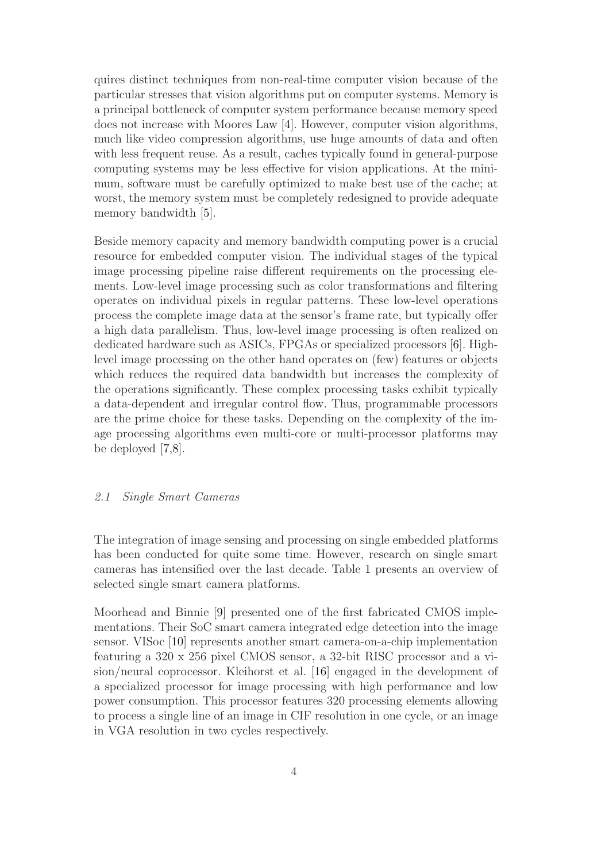quires distinct techniques from non-real-time computer vision because of the particular stresses that vision algorithms put on computer systems. Memory is a principal bottleneck of computer system performance because memory speed does not increase with Moores Law [\[4\]](#page-14-3). However, computer vision algorithms, much like video compression algorithms, use huge amounts of data and often with less frequent reuse. As a result, caches typically found in general-purpose computing systems may be less effective for vision applications. At the minimum, software must be carefully optimized to make best use of the cache; at worst, the memory system must be completely redesigned to provide adequate memory bandwidth [\[5\]](#page-14-4).

Beside memory capacity and memory bandwidth computing power is a crucial resource for embedded computer vision. The individual stages of the typical image processing pipeline raise different requirements on the processing elements. Low-level image processing such as color transformations and filtering operates on individual pixels in regular patterns. These low-level operations process the complete image data at the sensor's frame rate, but typically offer a high data parallelism. Thus, low-level image processing is often realized on dedicated hardware such as ASICs, FPGAs or specialized processors [\[6\]](#page-14-5). Highlevel image processing on the other hand operates on (few) features or objects which reduces the required data bandwidth but increases the complexity of the operations significantly. These complex processing tasks exhibit typically a data-dependent and irregular control flow. Thus, programmable processors are the prime choice for these tasks. Depending on the complexity of the image processing algorithms even multi-core or multi-processor platforms may be deployed [\[7,](#page-14-6)[8\]](#page-14-7).

#### *2.1 Single Smart Cameras*

The integration of image sensing and processing on single embedded platforms has been conducted for quite some time. However, research on single smart cameras has intensified over the last decade. Table [1](#page-4-0) presents an overview of selected single smart camera platforms.

Moorhead and Binnie [\[9\]](#page-14-8) presented one of the first fabricated CMOS implementations. Their SoC smart camera integrated edge detection into the image sensor. VISoc [\[10\]](#page-14-9) represents another smart camera-on-a-chip implementation featuring a 320 x 256 pixel CMOS sensor, a 32-bit RISC processor and a vision/neural coprocessor. Kleihorst et al. [\[16\]](#page-15-0) engaged in the development of a specialized processor for image processing with high performance and low power consumption. This processor features 320 processing elements allowing to process a single line of an image in CIF resolution in one cycle, or an image in VGA resolution in two cycles respectively.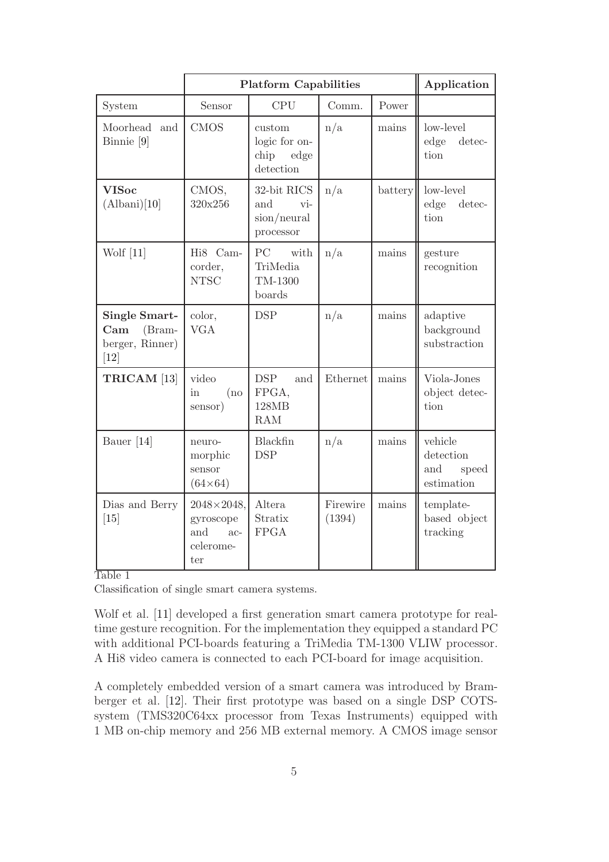|                                                                    | <b>Platform Capabilities</b>                                          | Application                                                      |                    |         |                                                    |
|--------------------------------------------------------------------|-----------------------------------------------------------------------|------------------------------------------------------------------|--------------------|---------|----------------------------------------------------|
| System                                                             | Sensor                                                                | <b>CPU</b>                                                       | Comm.              | Power   |                                                    |
| Moorhead and<br>Binnie [9]                                         | <b>CMOS</b>                                                           | custom<br>logic for on-<br>chip<br>edge<br>detection             | n/a                | mains   | low-level<br>$_{\rm edge}$<br>detec-<br>tion       |
| <b>VISoc</b><br>(Albani)[10]                                       | CMOS,<br>320x256                                                      | $32$ -bit RICS<br>and<br>$\rm{vi}$ -<br>sion/neural<br>processor | n/a                | battery | low-level<br>$_{\rm edge}$<br>detec-<br>tion       |
| Wolf $[11]$                                                        | Hi8 Cam-<br>corder,<br><b>NTSC</b>                                    | PC<br>with<br>TriMedia<br>TM-1300<br>boards                      | n/a                | mains   | gesture<br>recognition                             |
| <b>Single Smart-</b><br>Cam<br>$(Bram-$<br>berger, Rinner)<br>[12] | color,<br><b>VGA</b>                                                  | <b>DSP</b>                                                       | n/a                | mains   | adaptive<br>background<br>substraction             |
| TRICAM <sup>[13]</sup>                                             | video<br>in<br>(no)<br>sensor)                                        | <b>DSP</b><br>and<br>FPGA,<br>128MB<br><b>RAM</b>                | Ethernet           | mains   | Viola-Jones<br>object detec-<br>tion               |
| Bauer $[14]$                                                       | neuro-<br>morphic<br>sensor<br>$(64\times64)$                         | Blackfin<br><b>DSP</b>                                           | n/a                | mains   | vehicle<br>detection<br>and<br>speed<br>estimation |
| Dias and Berry<br>[15]                                             | $2048 \times 2048$ ,<br>gyroscope<br>and<br>$AC-$<br>celerome-<br>ter | Altera<br>Stratix<br><b>FPGA</b>                                 | Firewire<br>(1394) | mains   | template-<br>based object<br>tracking              |

## Table 1

<span id="page-4-0"></span>Classification of single smart camera systems.

Wolf et al. [\[11\]](#page-15-1) developed a first generation smart camera prototype for realtime gesture recognition. For the implementation they equipped a standard PC with additional PCI-boards featuring a TriMedia TM-1300 VLIW processor. A Hi8 video camera is connected to each PCI-board for image acquisition.

A completely embedded version of a smart camera was introduced by Bramberger et al. [\[12\]](#page-15-2). Their first prototype was based on a single DSP COTSsystem (TMS320C64xx processor from Texas Instruments) equipped with 1 MB on-chip memory and 256 MB external memory. A CMOS image sensor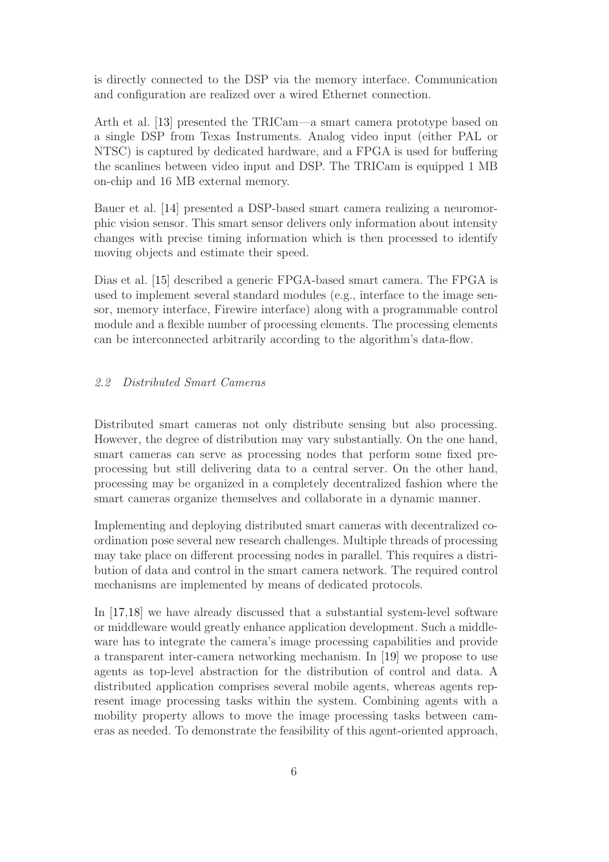is directly connected to the DSP via the memory interface. Communication and configuration are realized over a wired Ethernet connection.

Arth et al. [\[13\]](#page-15-3) presented the TRICam—a smart camera prototype based on a single DSP from Texas Instruments. Analog video input (either PAL or NTSC) is captured by dedicated hardware, and a FPGA is used for buffering the scanlines between video input and DSP. The TRICam is equipped 1 MB on-chip and 16 MB external memory.

Bauer et al. [\[14\]](#page-15-4) presented a DSP-based smart camera realizing a neuromorphic vision sensor. This smart sensor delivers only information about intensity changes with precise timing information which is then processed to identify moving objects and estimate their speed.

Dias et al. [\[15\]](#page-15-5) described a generic FPGA-based smart camera. The FPGA is used to implement several standard modules (e.g., interface to the image sensor, memory interface, Firewire interface) along with a programmable control module and a flexible number of processing elements. The processing elements can be interconnected arbitrarily according to the algorithm's data-flow.

#### *2.2 Distributed Smart Cameras*

Distributed smart cameras not only distribute sensing but also processing. However, the degree of distribution may vary substantially. On the one hand, smart cameras can serve as processing nodes that perform some fixed preprocessing but still delivering data to a central server. On the other hand, processing may be organized in a completely decentralized fashion where the smart cameras organize themselves and collaborate in a dynamic manner.

Implementing and deploying distributed smart cameras with decentralized coordination pose several new research challenges. Multiple threads of processing may take place on different processing nodes in parallel. This requires a distribution of data and control in the smart camera network. The required control mechanisms are implemented by means of dedicated protocols.

In [\[17](#page-15-6)[,18\]](#page-15-7) we have already discussed that a substantial system-level software or middleware would greatly enhance application development. Such a middleware has to integrate the camera's image processing capabilities and provide a transparent inter-camera networking mechanism. In [\[19\]](#page-15-8) we propose to use agents as top-level abstraction for the distribution of control and data. A distributed application comprises several mobile agents, whereas agents represent image processing tasks within the system. Combining agents with a mobility property allows to move the image processing tasks between cameras as needed. To demonstrate the feasibility of this agent-oriented approach,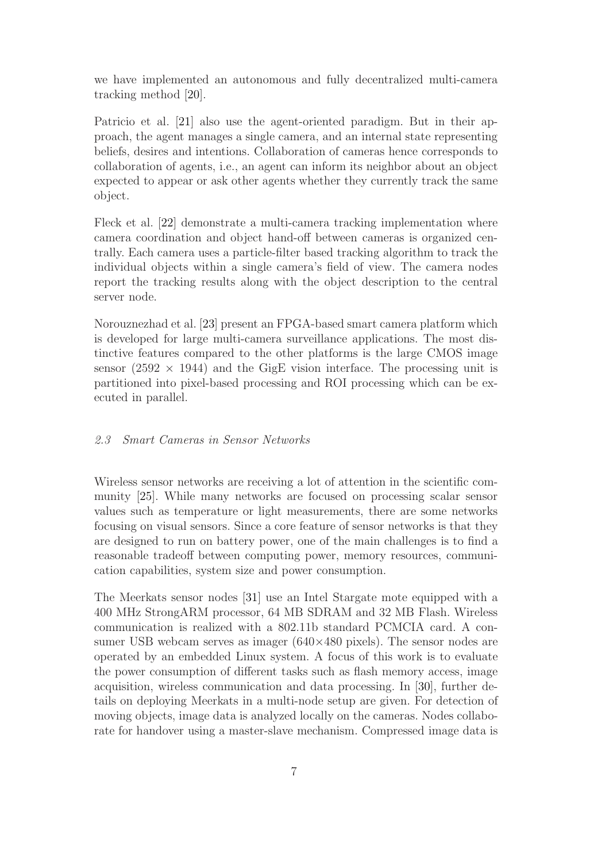we have implemented an autonomous and fully decentralized multi-camera tracking method [\[20\]](#page-15-9).

Patricio et al. [\[21\]](#page-15-10) also use the agent-oriented paradigm. But in their approach, the agent manages a single camera, and an internal state representing beliefs, desires and intentions. Collaboration of cameras hence corresponds to collaboration of agents, i.e., an agent can inform its neighbor about an object expected to appear or ask other agents whether they currently track the same object.

Fleck et al. [\[22\]](#page-15-11) demonstrate a multi-camera tracking implementation where camera coordination and object hand-off between cameras is organized centrally. Each camera uses a particle-filter based tracking algorithm to track the individual objects within a single camera's field of view. The camera nodes report the tracking results along with the object description to the central server node.

Norouznezhad et al. [\[23\]](#page-16-0) present an FPGA-based smart camera platform which is developed for large multi-camera surveillance applications. The most distinctive features compared to the other platforms is the large CMOS image sensor  $(2592 \times 1944)$  and the GigE vision interface. The processing unit is partitioned into pixel-based processing and ROI processing which can be executed in parallel.

#### *2.3 Smart Cameras in Sensor Networks*

Wireless sensor networks are receiving a lot of attention in the scientific community [\[25\]](#page-16-1). While many networks are focused on processing scalar sensor values such as temperature or light measurements, there are some networks focusing on visual sensors. Since a core feature of sensor networks is that they are designed to run on battery power, one of the main challenges is to find a reasonable tradeoff between computing power, memory resources, communication capabilities, system size and power consumption.

The Meerkats sensor nodes [\[31\]](#page-16-2) use an Intel Stargate mote equipped with a 400 MHz StrongARM processor, 64 MB SDRAM and 32 MB Flash. Wireless communication is realized with a 802.11b standard PCMCIA card. A consumer USB webcam serves as imager (640×480 pixels). The sensor nodes are operated by an embedded Linux system. A focus of this work is to evaluate the power consumption of different tasks such as flash memory access, image acquisition, wireless communication and data processing. In [\[30\]](#page-16-3), further details on deploying Meerkats in a multi-node setup are given. For detection of moving objects, image data is analyzed locally on the cameras. Nodes collaborate for handover using a master-slave mechanism. Compressed image data is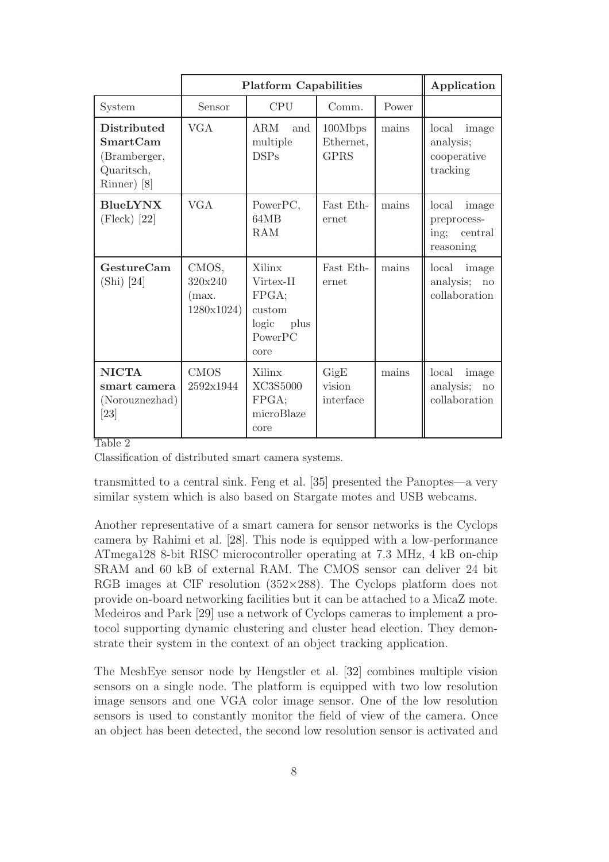|                                                                               | <b>Platform Capabilities</b>            | Application                                                                |                                     |       |                                                                     |
|-------------------------------------------------------------------------------|-----------------------------------------|----------------------------------------------------------------------------|-------------------------------------|-------|---------------------------------------------------------------------|
| System                                                                        | Sensor                                  | <b>CPU</b>                                                                 | Comm.                               | Power |                                                                     |
| <b>Distributed</b><br>SmartCam<br>(Bramberger,<br>Quaritsch,<br>$Rinner)$ [8] | <b>VGA</b>                              | <b>ARM</b><br>and<br>multiple<br>DSPs                                      | 100Mbps<br>Ethernet,<br><b>GPRS</b> | mains | local<br>image<br>analysis;<br>cooperative<br>tracking              |
| <b>BlueLYNX</b><br>(Fleck) [22]                                               | <b>VGA</b>                              | PowerPC,<br>64MB<br><b>RAM</b>                                             | Fast Eth-<br>ernet                  | mains | local<br>image<br>preprocess-<br>central<br>ing;<br>reasoning       |
| $G$ esture $Cam$<br>$(Shi)$ [24]                                              | CMOS,<br>320x240<br>(max.<br>1280x1024) | Xilinx<br>Virtex-II<br>FPGA;<br>custom<br>logic<br>plus<br>PowerPC<br>core | Fast Eth-<br>ernet                  | mains | local<br>image<br>analysis;<br>no<br>collaboration                  |
| <b>NICTA</b><br>smart camera<br>(Norouznezhad)<br>$\left[ 23\right]$          | <b>CMOS</b><br>2592x1944                | Xilinx<br>XC3S5000<br>FPGA;<br>microBlaze<br>core                          | $\rm{GigE}$<br>vision<br>interface  | mains | local<br>image<br>analysis;<br>$\operatorname{no}$<br>collaboration |

## Table 2

Classification of distributed smart camera systems.

transmitted to a central sink. Feng et al. [\[35\]](#page-17-0) presented the Panoptes—a very similar system which is also based on Stargate motes and USB webcams.

Another representative of a smart camera for sensor networks is the Cyclops camera by Rahimi et al. [\[28\]](#page-16-5). This node is equipped with a low-performance ATmega128 8-bit RISC microcontroller operating at 7.3 MHz, 4 kB on-chip SRAM and 60 kB of external RAM. The CMOS sensor can deliver 24 bit RGB images at CIF resolution  $(352\times288)$ . The Cyclops platform does not provide on-board networking facilities but it can be attached to a MicaZ mote. Medeiros and Park [\[29\]](#page-16-6) use a network of Cyclops cameras to implement a protocol supporting dynamic clustering and cluster head election. They demonstrate their system in the context of an object tracking application.

The MeshEye sensor node by Hengstler et al. [\[32\]](#page-16-7) combines multiple vision sensors on a single node. The platform is equipped with two low resolution image sensors and one VGA color image sensor. One of the low resolution sensors is used to constantly monitor the field of view of the camera. Once an object has been detected, the second low resolution sensor is activated and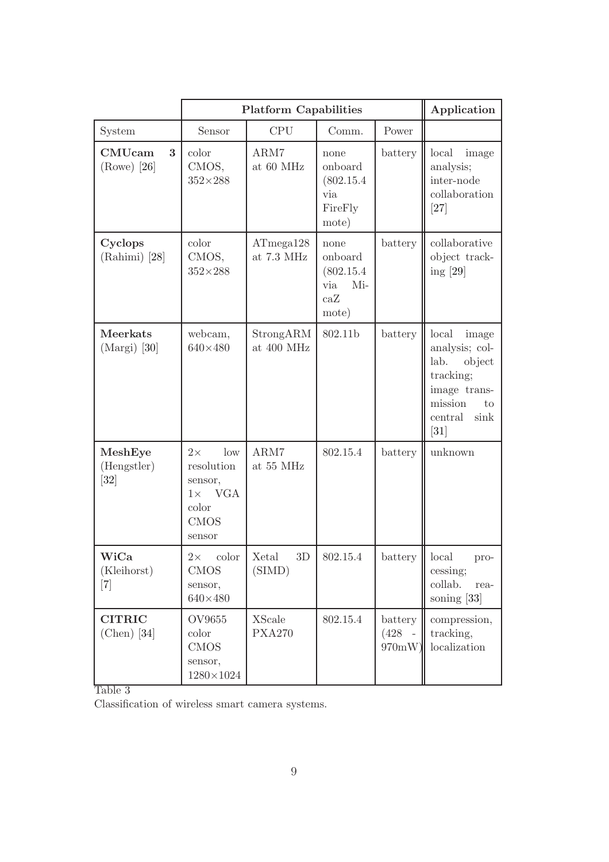|                                          | <b>Platform Capabilities</b>                                                                  | Application                      |                                                             |                            |                                                                                                                             |
|------------------------------------------|-----------------------------------------------------------------------------------------------|----------------------------------|-------------------------------------------------------------|----------------------------|-----------------------------------------------------------------------------------------------------------------------------|
| System                                   | Sensor                                                                                        | CPU                              | Comm.                                                       | Power                      |                                                                                                                             |
| 3<br><b>CMU</b> cam<br>$(Rowe)$ [26]     | color<br>CMOS,<br>$352\times288$                                                              | ARM7<br>at 60 MHz                | none<br>onboard<br>(802.15.4)<br>via<br>FireFly<br>mote)    | battery                    | local<br>image<br>analysis;<br>inter-node<br>collaboration<br>$[27]$                                                        |
| Cyclops<br>$(Rahimi)$ [28]               | color<br>CMOS,<br>$352\times288$                                                              | ATmega128<br>at $7.3$ MHz        | none<br>onboard<br>(802.15.4)<br>Mi-<br>via<br>caZ<br>mote) | battery                    | collaborative<br>object track-<br>ing $[29]$                                                                                |
| Meerkats<br>$(Margi)$ [30]               | webcam,<br>$640\times480$                                                                     | StrongARM<br>at 400 MHz          | 802.11b                                                     | battery                    | local<br>image<br>analysis; col-<br>object<br>lab.<br>tracking;<br>image trans-<br>mission<br>to<br>central<br>sink<br>[31] |
| MeshEye<br>(Hengstler)<br>[32]           | $2\times$<br>low<br>resolution<br>sensor,<br>$1 \times$ VGA<br>color<br><b>CMOS</b><br>sensor | ARM7<br>at 55 MHz                | 802.15.4                                                    | battery                    | unknown                                                                                                                     |
| WiCa<br>(Kleihorst)<br>$\lceil 7 \rceil$ | $2 \times \quad \text{color}$<br><b>CMOS</b><br>sensor,<br>$640\times480$                     | Xetal<br>$3\mathrm{D}$<br>(SIMD) | 802.15.4                                                    | battery                    | $_{\rm local}$<br>pro-<br>cessing;<br>collab.<br>rea-<br>soning [33]                                                        |
| <b>CITRIC</b><br>$(Chen)$ [34]           | OV9655<br>color<br><b>CMOS</b><br>sensor,<br>$1280{\times}1024$                               | XScale<br><b>PXA270</b>          | 802.15.4                                                    | battery<br>(428)<br>970mW) | compression,<br>tracking,<br>localization                                                                                   |

Table 3

Classification of wireless smart camera systems.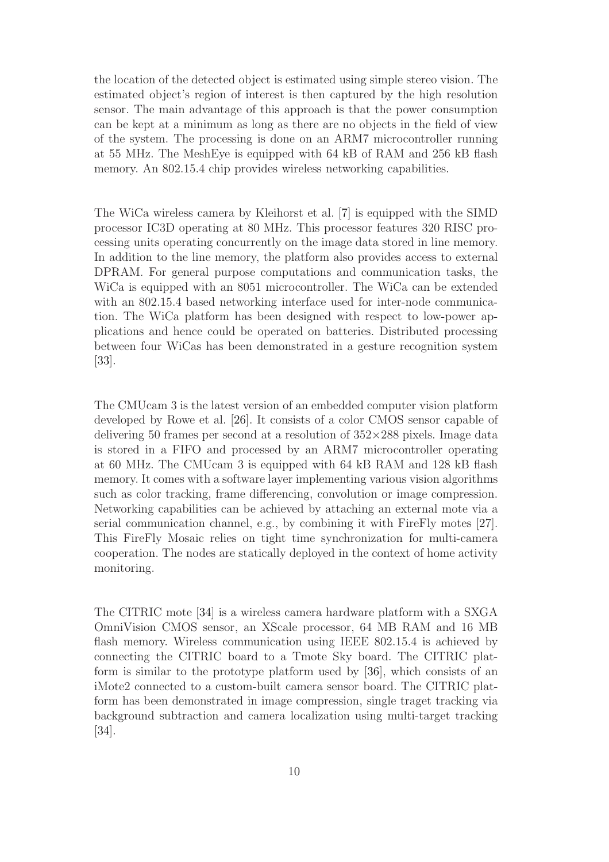the location of the detected object is estimated using simple stereo vision. The estimated object's region of interest is then captured by the high resolution sensor. The main advantage of this approach is that the power consumption can be kept at a minimum as long as there are no objects in the field of view of the system. The processing is done on an ARM7 microcontroller running at 55 MHz. The MeshEye is equipped with 64 kB of RAM and 256 kB flash memory. An 802.15.4 chip provides wireless networking capabilities.

The WiCa wireless camera by Kleihorst et al. [\[7\]](#page-14-6) is equipped with the SIMD processor IC3D operating at 80 MHz. This processor features 320 RISC processing units operating concurrently on the image data stored in line memory. In addition to the line memory, the platform also provides access to external DPRAM. For general purpose computations and communication tasks, the WiCa is equipped with an 8051 microcontroller. The WiCa can be extended with an  $802.15.4$  based networking interface used for inter-node communication. The WiCa platform has been designed with respect to low-power applications and hence could be operated on batteries. Distributed processing between four WiCas has been demonstrated in a gesture recognition system [\[33\]](#page-16-10).

The CMUcam 3 is the latest version of an embedded computer vision platform developed by Rowe et al. [\[26\]](#page-16-8). It consists of a color CMOS sensor capable of delivering 50 frames per second at a resolution of  $352\times288$  pixels. Image data is stored in a FIFO and processed by an ARM7 microcontroller operating at 60 MHz. The CMUcam 3 is equipped with 64 kB RAM and 128 kB flash memory. It comes with a software layer implementing various vision algorithms such as color tracking, frame differencing, convolution or image compression. Networking capabilities can be achieved by attaching an external mote via a serial communication channel, e.g., by combining it with FireFly motes [\[27\]](#page-16-9). This FireFly Mosaic relies on tight time synchronization for multi-camera cooperation. The nodes are statically deployed in the context of home activity monitoring.

The CITRIC mote [\[34\]](#page-17-1) is a wireless camera hardware platform with a SXGA OmniVision CMOS sensor, an XScale processor, 64 MB RAM and 16 MB flash memory. Wireless communication using IEEE 802.15.4 is achieved by connecting the CITRIC board to a Tmote Sky board. The CITRIC platform is similar to the prototype platform used by [\[36\]](#page-17-2), which consists of an iMote2 connected to a custom-built camera sensor board. The CITRIC platform has been demonstrated in image compression, single traget tracking via background subtraction and camera localization using multi-target tracking [\[34\]](#page-17-1).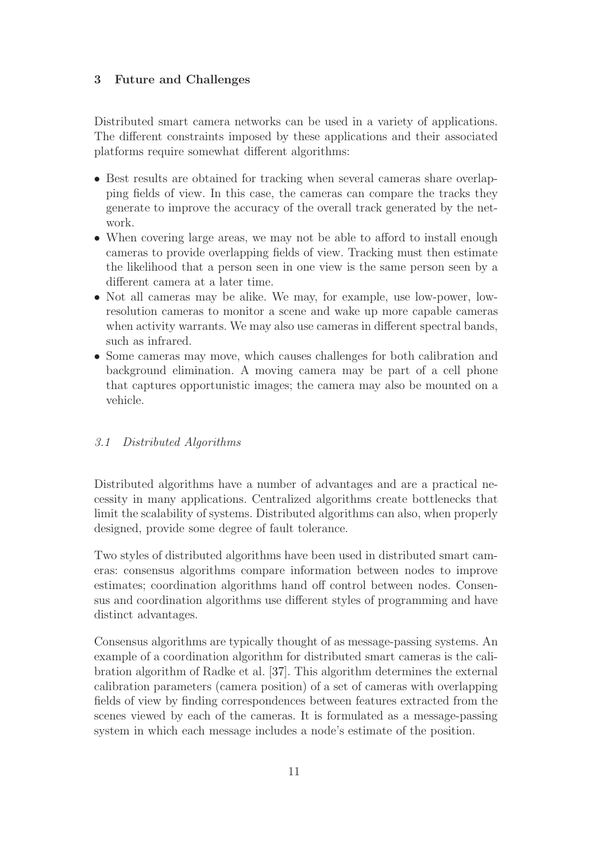## <span id="page-10-0"></span>**3 Future and Challenges**

Distributed smart camera networks can be used in a variety of applications. The different constraints imposed by these applications and their associated platforms require somewhat different algorithms:

- Best results are obtained for tracking when several cameras share overlapping fields of view. In this case, the cameras can compare the tracks they generate to improve the accuracy of the overall track generated by the network.
- When covering large areas, we may not be able to afford to install enough cameras to provide overlapping fields of view. Tracking must then estimate the likelihood that a person seen in one view is the same person seen by a different camera at a later time.
- Not all cameras may be alike. We may, for example, use low-power, lowresolution cameras to monitor a scene and wake up more capable cameras when activity warrants. We may also use cameras in different spectral bands, such as infrared.
- Some cameras may move, which causes challenges for both calibration and background elimination. A moving camera may be part of a cell phone that captures opportunistic images; the camera may also be mounted on a vehicle.

#### *3.1 Distributed Algorithms*

Distributed algorithms have a number of advantages and are a practical necessity in many applications. Centralized algorithms create bottlenecks that limit the scalability of systems. Distributed algorithms can also, when properly designed, provide some degree of fault tolerance.

Two styles of distributed algorithms have been used in distributed smart cameras: consensus algorithms compare information between nodes to improve estimates; coordination algorithms hand off control between nodes. Consensus and coordination algorithms use different styles of programming and have distinct advantages.

Consensus algorithms are typically thought of as message-passing systems. An example of a coordination algorithm for distributed smart cameras is the calibration algorithm of Radke et al. [\[37\]](#page-17-3). This algorithm determines the external calibration parameters (camera position) of a set of cameras with overlapping fields of view by finding correspondences between features extracted from the scenes viewed by each of the cameras. It is formulated as a message-passing system in which each message includes a node's estimate of the position.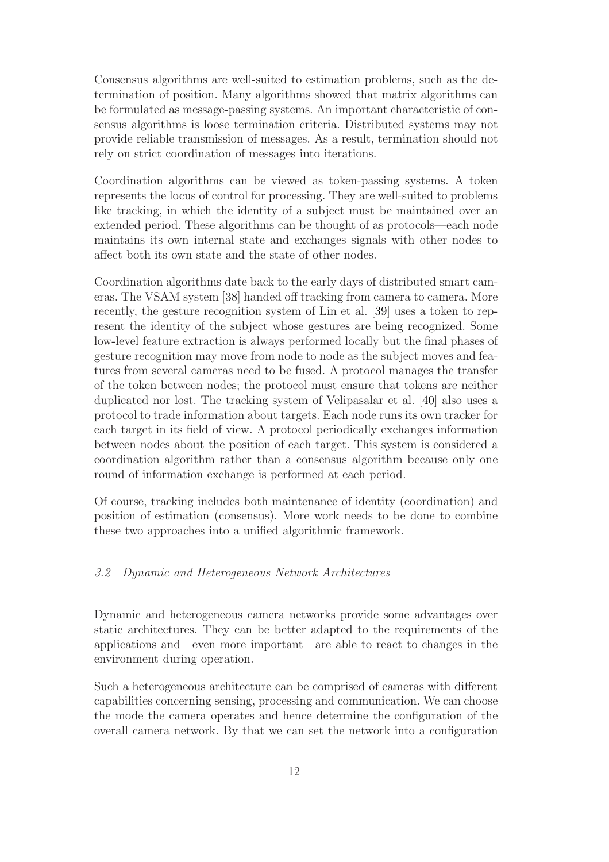Consensus algorithms are well-suited to estimation problems, such as the determination of position. Many algorithms showed that matrix algorithms can be formulated as message-passing systems. An important characteristic of consensus algorithms is loose termination criteria. Distributed systems may not provide reliable transmission of messages. As a result, termination should not rely on strict coordination of messages into iterations.

Coordination algorithms can be viewed as token-passing systems. A token represents the locus of control for processing. They are well-suited to problems like tracking, in which the identity of a subject must be maintained over an extended period. These algorithms can be thought of as protocols—each node maintains its own internal state and exchanges signals with other nodes to affect both its own state and the state of other nodes.

Coordination algorithms date back to the early days of distributed smart cameras. The VSAM system [\[38\]](#page-17-4) handed off tracking from camera to camera. More recently, the gesture recognition system of Lin et al. [\[39\]](#page-17-5) uses a token to represent the identity of the subject whose gestures are being recognized. Some low-level feature extraction is always performed locally but the final phases of gesture recognition may move from node to node as the subject moves and features from several cameras need to be fused. A protocol manages the transfer of the token between nodes; the protocol must ensure that tokens are neither duplicated nor lost. The tracking system of Velipasalar et al. [\[40\]](#page-17-6) also uses a protocol to trade information about targets. Each node runs its own tracker for each target in its field of view. A protocol periodically exchanges information between nodes about the position of each target. This system is considered a coordination algorithm rather than a consensus algorithm because only one round of information exchange is performed at each period.

Of course, tracking includes both maintenance of identity (coordination) and position of estimation (consensus). More work needs to be done to combine these two approaches into a unified algorithmic framework.

#### *3.2 Dynamic and Heterogeneous Network Architectures*

Dynamic and heterogeneous camera networks provide some advantages over static architectures. They can be better adapted to the requirements of the applications and—even more important—are able to react to changes in the environment during operation.

Such a heterogeneous architecture can be comprised of cameras with different capabilities concerning sensing, processing and communication. We can choose the mode the camera operates and hence determine the configuration of the overall camera network. By that we can set the network into a configuration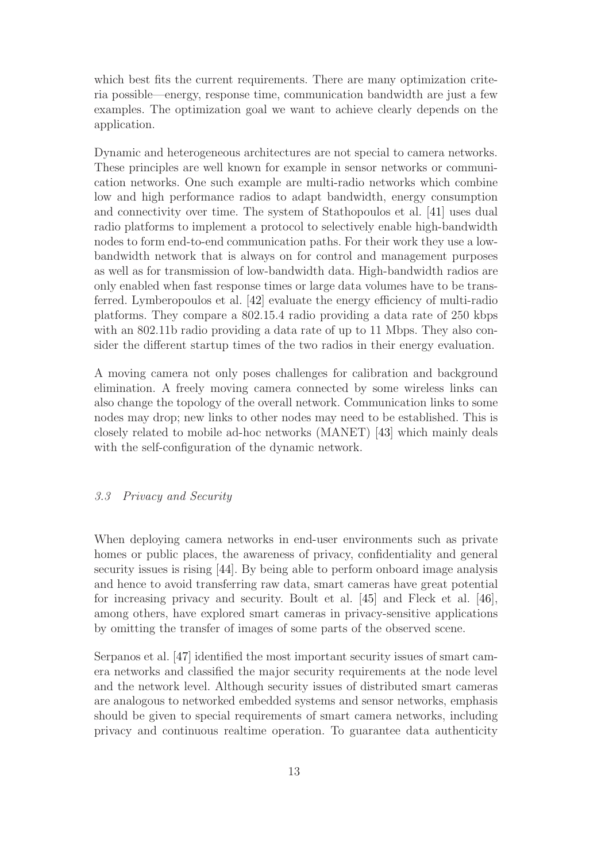which best fits the current requirements. There are many optimization criteria possible—energy, response time, communication bandwidth are just a few examples. The optimization goal we want to achieve clearly depends on the application.

Dynamic and heterogeneous architectures are not special to camera networks. These principles are well known for example in sensor networks or communication networks. One such example are multi-radio networks which combine low and high performance radios to adapt bandwidth, energy consumption and connectivity over time. The system of Stathopoulos et al. [\[41\]](#page-17-7) uses dual radio platforms to implement a protocol to selectively enable high-bandwidth nodes to form end-to-end communication paths. For their work they use a lowbandwidth network that is always on for control and management purposes as well as for transmission of low-bandwidth data. High-bandwidth radios are only enabled when fast response times or large data volumes have to be transferred. Lymberopoulos et al. [\[42\]](#page-17-8) evaluate the energy efficiency of multi-radio platforms. They compare a 802.15.4 radio providing a data rate of 250 kbps with an 802.11b radio providing a data rate of up to 11 Mbps. They also consider the different startup times of the two radios in their energy evaluation.

A moving camera not only poses challenges for calibration and background elimination. A freely moving camera connected by some wireless links can also change the topology of the overall network. Communication links to some nodes may drop; new links to other nodes may need to be established. This is closely related to mobile ad-hoc networks (MANET) [\[43\]](#page-17-9) which mainly deals with the self-configuration of the dynamic network.

#### *3.3 Privacy and Security*

When deploying camera networks in end-user environments such as private homes or public places, the awareness of privacy, confidentiality and general security issues is rising [\[44\]](#page-17-10). By being able to perform onboard image analysis and hence to avoid transferring raw data, smart cameras have great potential for increasing privacy and security. Boult et al. [\[45\]](#page-17-11) and Fleck et al. [\[46\]](#page-18-0), among others, have explored smart cameras in privacy-sensitive applications by omitting the transfer of images of some parts of the observed scene.

Serpanos et al. [\[47\]](#page-18-1) identified the most important security issues of smart camera networks and classified the major security requirements at the node level and the network level. Although security issues of distributed smart cameras are analogous to networked embedded systems and sensor networks, emphasis should be given to special requirements of smart camera networks, including privacy and continuous realtime operation. To guarantee data authenticity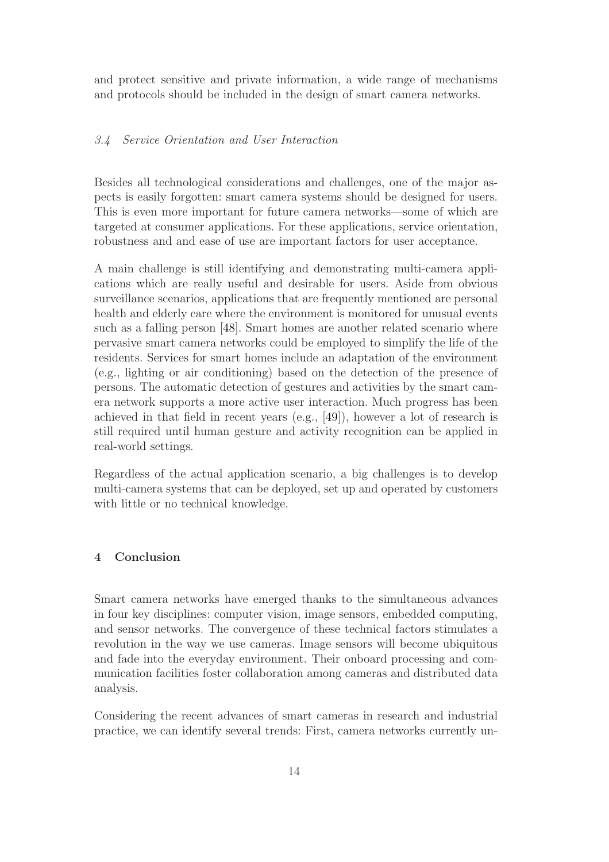and protect sensitive and private information, a wide range of mechanisms and protocols should be included in the design of smart camera networks.

#### *3.4 Service Orientation and User Interaction*

Besides all technological considerations and challenges, one of the major aspects is easily forgotten: smart camera systems should be designed for users. This is even more important for future camera networks—some of which are targeted at consumer applications. For these applications, service orientation, robustness and and ease of use are important factors for user acceptance.

A main challenge is still identifying and demonstrating multi-camera applications which are really useful and desirable for users. Aside from obvious surveillance scenarios, applications that are frequently mentioned are personal health and elderly care where the environment is monitored for unusual events such as a falling person [\[48\]](#page-18-2). Smart homes are another related scenario where pervasive smart camera networks could be employed to simplify the life of the residents. Services for smart homes include an adaptation of the environment (e.g., lighting or air conditioning) based on the detection of the presence of persons. The automatic detection of gestures and activities by the smart camera network supports a more active user interaction. Much progress has been achieved in that field in recent years (e.g., [\[49\]](#page-18-3)), however a lot of research is still required until human gesture and activity recognition can be applied in real-world settings.

Regardless of the actual application scenario, a big challenges is to develop multi-camera systems that can be deployed, set up and operated by customers with little or no technical knowledge.

### <span id="page-13-0"></span>**4 Conclusion**

Smart camera networks have emerged thanks to the simultaneous advances in four key disciplines: computer vision, image sensors, embedded computing, and sensor networks. The convergence of these technical factors stimulates a revolution in the way we use cameras. Image sensors will become ubiquitous and fade into the everyday environment. Their onboard processing and communication facilities foster collaboration among cameras and distributed data analysis.

Considering the recent advances of smart cameras in research and industrial practice, we can identify several trends: First, camera networks currently un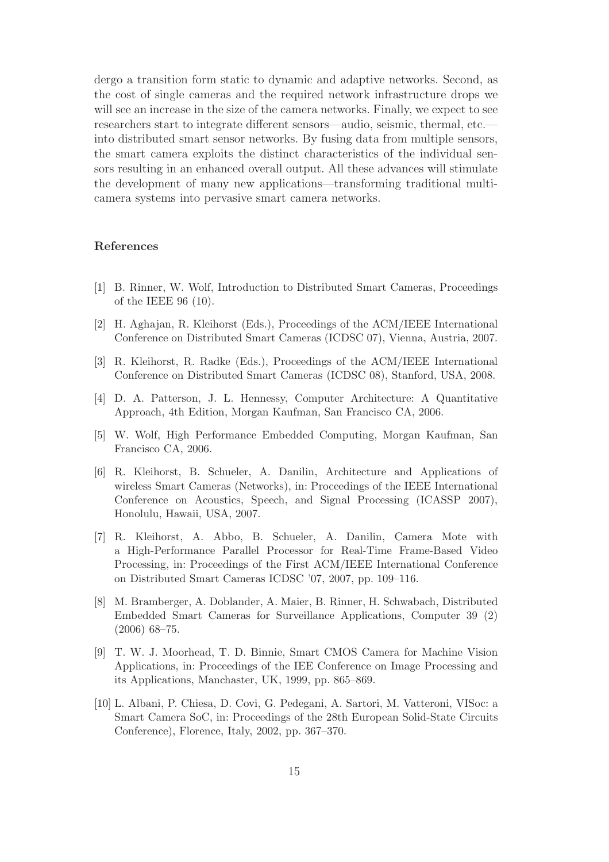dergo a transition form static to dynamic and adaptive networks. Second, as the cost of single cameras and the required network infrastructure drops we will see an increase in the size of the camera networks. Finally, we expect to see researchers start to integrate different sensors—audio, seismic, thermal, etc. into distributed smart sensor networks. By fusing data from multiple sensors, the smart camera exploits the distinct characteristics of the individual sensors resulting in an enhanced overall output. All these advances will stimulate the development of many new applications—transforming traditional multicamera systems into pervasive smart camera networks.

#### <span id="page-14-0"></span>**References**

- [1] B. Rinner, W. Wolf, Introduction to Distributed Smart Cameras, Proceedings of the IEEE 96 (10).
- <span id="page-14-1"></span>[2] H. Aghajan, R. Kleihorst (Eds.), Proceedings of the ACM/IEEE International Conference on Distributed Smart Cameras (ICDSC 07), Vienna, Austria, 2007.
- <span id="page-14-3"></span><span id="page-14-2"></span>[3] R. Kleihorst, R. Radke (Eds.), Proceedings of the ACM/IEEE International Conference on Distributed Smart Cameras (ICDSC 08), Stanford, USA, 2008.
- <span id="page-14-4"></span>[4] D. A. Patterson, J. L. Hennessy, Computer Architecture: A Quantitative Approach, 4th Edition, Morgan Kaufman, San Francisco CA, 2006.
- <span id="page-14-5"></span>[5] W. Wolf, High Performance Embedded Computing, Morgan Kaufman, San Francisco CA, 2006.
- [6] R. Kleihorst, B. Schueler, A. Danilin, Architecture and Applications of wireless Smart Cameras (Networks), in: Proceedings of the IEEE International Conference on Acoustics, Speech, and Signal Processing (ICASSP 2007), Honolulu, Hawaii, USA, 2007.
- <span id="page-14-6"></span>[7] R. Kleihorst, A. Abbo, B. Schueler, A. Danilin, Camera Mote with a High-Performance Parallel Processor for Real-Time Frame-Based Video Processing, in: Proceedings of the First ACM/IEEE International Conference on Distributed Smart Cameras ICDSC '07, 2007, pp. 109–116.
- <span id="page-14-7"></span>[8] M. Bramberger, A. Doblander, A. Maier, B. Rinner, H. Schwabach, Distributed Embedded Smart Cameras for Surveillance Applications, Computer 39 (2) (2006) 68–75.
- <span id="page-14-8"></span>[9] T. W. J. Moorhead, T. D. Binnie, Smart CMOS Camera for Machine Vision Applications, in: Proceedings of the IEE Conference on Image Processing and its Applications, Manchaster, UK, 1999, pp. 865–869.
- <span id="page-14-9"></span>[10] L. Albani, P. Chiesa, D. Covi, G. Pedegani, A. Sartori, M. Vatteroni, VISoc: a Smart Camera SoC, in: Proceedings of the 28th European Solid-State Circuits Conference), Florence, Italy, 2002, pp. 367–370.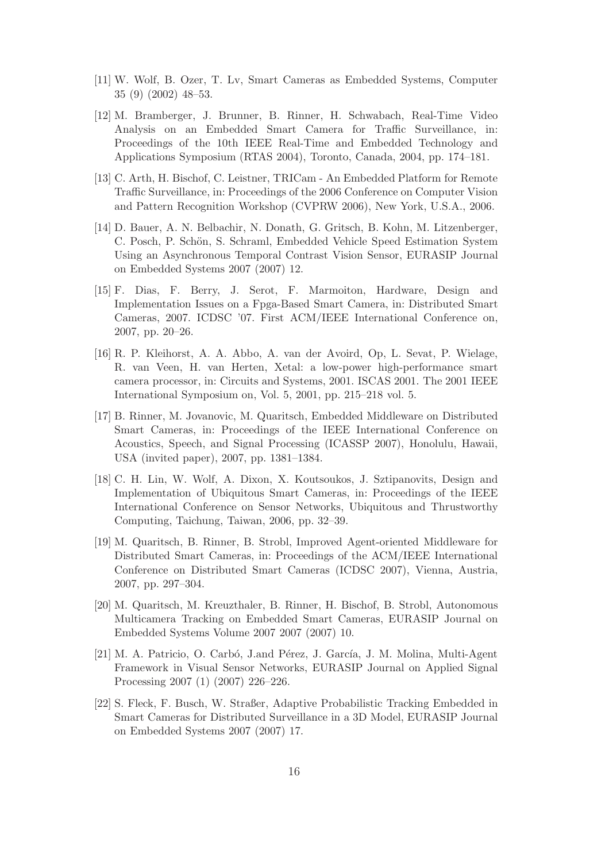- <span id="page-15-2"></span><span id="page-15-1"></span>[11] W. Wolf, B. Ozer, T. Lv, Smart Cameras as Embedded Systems, Computer 35 (9) (2002) 48–53.
- [12] M. Bramberger, J. Brunner, B. Rinner, H. Schwabach, Real-Time Video Analysis on an Embedded Smart Camera for Traffic Surveillance, in: Proceedings of the 10th IEEE Real-Time and Embedded Technology and Applications Symposium (RTAS 2004), Toronto, Canada, 2004, pp. 174–181.
- <span id="page-15-3"></span>[13] C. Arth, H. Bischof, C. Leistner, TRICam - An Embedded Platform for Remote Traffic Surveillance, in: Proceedings of the 2006 Conference on Computer Vision and Pattern Recognition Workshop (CVPRW 2006), New York, U.S.A., 2006.
- <span id="page-15-4"></span>[14] D. Bauer, A. N. Belbachir, N. Donath, G. Gritsch, B. Kohn, M. Litzenberger, C. Posch, P. Schön, S. Schraml, Embedded Vehicle Speed Estimation System Using an Asynchronous Temporal Contrast Vision Sensor, EURASIP Journal on Embedded Systems 2007 (2007) 12.
- <span id="page-15-5"></span>[15] F. Dias, F. Berry, J. Serot, F. Marmoiton, Hardware, Design and Implementation Issues on a Fpga-Based Smart Camera, in: Distributed Smart Cameras, 2007. ICDSC '07. First ACM/IEEE International Conference on, 2007, pp. 20–26.
- <span id="page-15-0"></span>[16] R. P. Kleihorst, A. A. Abbo, A. van der Avoird, Op, L. Sevat, P. Wielage, R. van Veen, H. van Herten, Xetal: a low-power high-performance smart camera processor, in: Circuits and Systems, 2001. ISCAS 2001. The 2001 IEEE International Symposium on, Vol. 5, 2001, pp. 215–218 vol. 5.
- <span id="page-15-6"></span>[17] B. Rinner, M. Jovanovic, M. Quaritsch, Embedded Middleware on Distributed Smart Cameras, in: Proceedings of the IEEE International Conference on Acoustics, Speech, and Signal Processing (ICASSP 2007), Honolulu, Hawaii, USA (invited paper), 2007, pp. 1381–1384.
- <span id="page-15-7"></span>[18] C. H. Lin, W. Wolf, A. Dixon, X. Koutsoukos, J. Sztipanovits, Design and Implementation of Ubiquitous Smart Cameras, in: Proceedings of the IEEE International Conference on Sensor Networks, Ubiquitous and Thrustworthy Computing, Taichung, Taiwan, 2006, pp. 32–39.
- <span id="page-15-8"></span>[19] M. Quaritsch, B. Rinner, B. Strobl, Improved Agent-oriented Middleware for Distributed Smart Cameras, in: Proceedings of the ACM/IEEE International Conference on Distributed Smart Cameras (ICDSC 2007), Vienna, Austria, 2007, pp. 297–304.
- <span id="page-15-9"></span>[20] M. Quaritsch, M. Kreuzthaler, B. Rinner, H. Bischof, B. Strobl, Autonomous Multicamera Tracking on Embedded Smart Cameras, EURASIP Journal on Embedded Systems Volume 2007 2007 (2007) 10.
- <span id="page-15-10"></span>[21] M. A. Patricio, O. Carbó, J.and Pérez, J. García, J. M. Molina, Multi-Agent Framework in Visual Sensor Networks, EURASIP Journal on Applied Signal Processing 2007 (1) (2007) 226–226.
- <span id="page-15-11"></span>[22] S. Fleck, F. Busch, W. Straßer, Adaptive Probabilistic Tracking Embedded in Smart Cameras for Distributed Surveillance in a 3D Model, EURASIP Journal on Embedded Systems 2007 (2007) 17.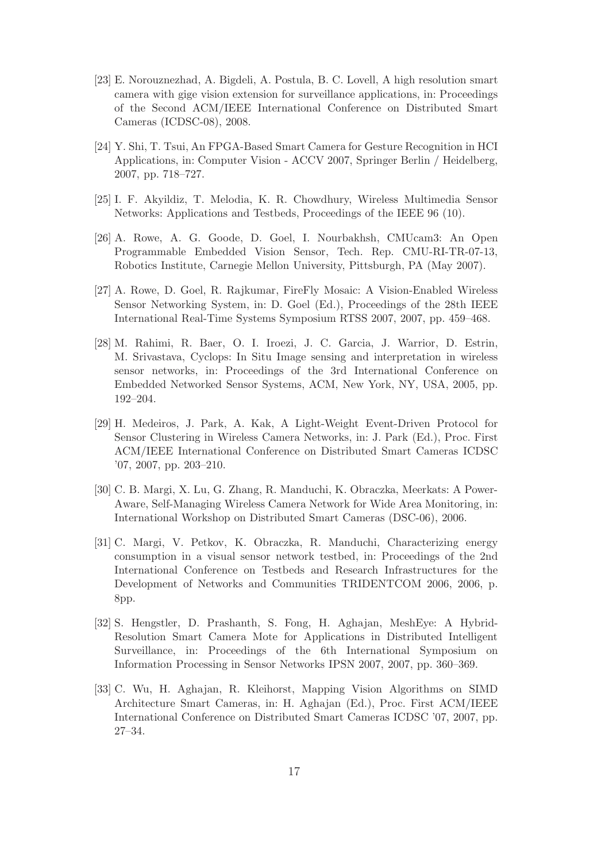- <span id="page-16-0"></span>[23] E. Norouznezhad, A. Bigdeli, A. Postula, B. C. Lovell, A high resolution smart camera with gige vision extension for surveillance applications, in: Proceedings of the Second ACM/IEEE International Conference on Distributed Smart Cameras (ICDSC-08), 2008.
- <span id="page-16-4"></span>[24] Y. Shi, T. Tsui, An FPGA-Based Smart Camera for Gesture Recognition in HCI Applications, in: Computer Vision - ACCV 2007, Springer Berlin / Heidelberg, 2007, pp. 718–727.
- <span id="page-16-8"></span><span id="page-16-1"></span>[25] I. F. Akyildiz, T. Melodia, K. R. Chowdhury, Wireless Multimedia Sensor Networks: Applications and Testbeds, Proceedings of the IEEE 96 (10).
- [26] A. Rowe, A. G. Goode, D. Goel, I. Nourbakhsh, CMUcam3: An Open Programmable Embedded Vision Sensor, Tech. Rep. CMU-RI-TR-07-13, Robotics Institute, Carnegie Mellon University, Pittsburgh, PA (May 2007).
- <span id="page-16-9"></span>[27] A. Rowe, D. Goel, R. Rajkumar, FireFly Mosaic: A Vision-Enabled Wireless Sensor Networking System, in: D. Goel (Ed.), Proceedings of the 28th IEEE International Real-Time Systems Symposium RTSS 2007, 2007, pp. 459–468.
- <span id="page-16-5"></span>[28] M. Rahimi, R. Baer, O. I. Iroezi, J. C. Garcia, J. Warrior, D. Estrin, M. Srivastava, Cyclops: In Situ Image sensing and interpretation in wireless sensor networks, in: Proceedings of the 3rd International Conference on Embedded Networked Sensor Systems, ACM, New York, NY, USA, 2005, pp. 192–204.
- <span id="page-16-6"></span>[29] H. Medeiros, J. Park, A. Kak, A Light-Weight Event-Driven Protocol for Sensor Clustering in Wireless Camera Networks, in: J. Park (Ed.), Proc. First ACM/IEEE International Conference on Distributed Smart Cameras ICDSC '07, 2007, pp. 203–210.
- <span id="page-16-3"></span>[30] C. B. Margi, X. Lu, G. Zhang, R. Manduchi, K. Obraczka, Meerkats: A Power-Aware, Self-Managing Wireless Camera Network for Wide Area Monitoring, in: International Workshop on Distributed Smart Cameras (DSC-06), 2006.
- <span id="page-16-2"></span>[31] C. Margi, V. Petkov, K. Obraczka, R. Manduchi, Characterizing energy consumption in a visual sensor network testbed, in: Proceedings of the 2nd International Conference on Testbeds and Research Infrastructures for the Development of Networks and Communities TRIDENTCOM 2006, 2006, p. 8pp.
- <span id="page-16-7"></span>[32] S. Hengstler, D. Prashanth, S. Fong, H. Aghajan, MeshEye: A Hybrid-Resolution Smart Camera Mote for Applications in Distributed Intelligent Surveillance, in: Proceedings of the 6th International Symposium on Information Processing in Sensor Networks IPSN 2007, 2007, pp. 360–369.
- <span id="page-16-10"></span>[33] C. Wu, H. Aghajan, R. Kleihorst, Mapping Vision Algorithms on SIMD Architecture Smart Cameras, in: H. Aghajan (Ed.), Proc. First ACM/IEEE International Conference on Distributed Smart Cameras ICDSC '07, 2007, pp. 27–34.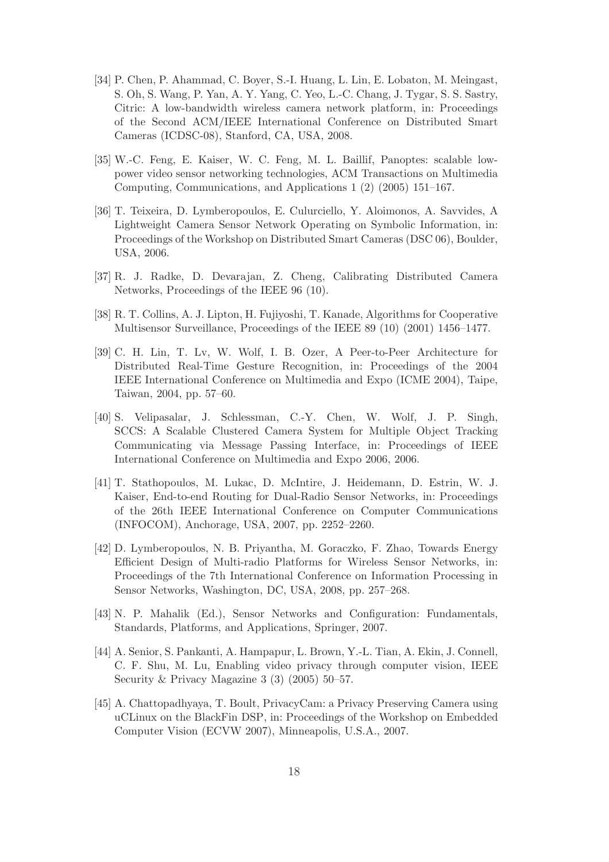- <span id="page-17-1"></span>[34] P. Chen, P. Ahammad, C. Boyer, S.-I. Huang, L. Lin, E. Lobaton, M. Meingast, S. Oh, S. Wang, P. Yan, A. Y. Yang, C. Yeo, L.-C. Chang, J. Tygar, S. S. Sastry, Citric: A low-bandwidth wireless camera network platform, in: Proceedings of the Second ACM/IEEE International Conference on Distributed Smart Cameras (ICDSC-08), Stanford, CA, USA, 2008.
- <span id="page-17-0"></span>[35] W.-C. Feng, E. Kaiser, W. C. Feng, M. L. Baillif, Panoptes: scalable lowpower video sensor networking technologies, ACM Transactions on Multimedia Computing, Communications, and Applications 1 (2) (2005) 151–167.
- <span id="page-17-2"></span>[36] T. Teixeira, D. Lymberopoulos, E. Culurciello, Y. Aloimonos, A. Savvides, A Lightweight Camera Sensor Network Operating on Symbolic Information, in: Proceedings of the Workshop on Distributed Smart Cameras (DSC 06), Boulder, USA, 2006.
- <span id="page-17-3"></span>[37] R. J. Radke, D. Devarajan, Z. Cheng, Calibrating Distributed Camera Networks, Proceedings of the IEEE 96 (10).
- <span id="page-17-4"></span>[38] R. T. Collins, A. J. Lipton, H. Fujiyoshi, T. Kanade, Algorithms for Cooperative Multisensor Surveillance, Proceedings of the IEEE 89 (10) (2001) 1456–1477.
- <span id="page-17-5"></span>[39] C. H. Lin, T. Lv, W. Wolf, I. B. Ozer, A Peer-to-Peer Architecture for Distributed Real-Time Gesture Recognition, in: Proceedings of the 2004 IEEE International Conference on Multimedia and Expo (ICME 2004), Taipe, Taiwan, 2004, pp. 57–60.
- <span id="page-17-6"></span>[40] S. Velipasalar, J. Schlessman, C.-Y. Chen, W. Wolf, J. P. Singh, SCCS: A Scalable Clustered Camera System for Multiple Object Tracking Communicating via Message Passing Interface, in: Proceedings of IEEE International Conference on Multimedia and Expo 2006, 2006.
- <span id="page-17-7"></span>[41] T. Stathopoulos, M. Lukac, D. McIntire, J. Heidemann, D. Estrin, W. J. Kaiser, End-to-end Routing for Dual-Radio Sensor Networks, in: Proceedings of the 26th IEEE International Conference on Computer Communications (INFOCOM), Anchorage, USA, 2007, pp. 2252–2260.
- <span id="page-17-8"></span>[42] D. Lymberopoulos, N. B. Priyantha, M. Goraczko, F. Zhao, Towards Energy Efficient Design of Multi-radio Platforms for Wireless Sensor Networks, in: Proceedings of the 7th International Conference on Information Processing in Sensor Networks, Washington, DC, USA, 2008, pp. 257–268.
- <span id="page-17-9"></span>[43] N. P. Mahalik (Ed.), Sensor Networks and Configuration: Fundamentals, Standards, Platforms, and Applications, Springer, 2007.
- <span id="page-17-10"></span>[44] A. Senior, S. Pankanti, A. Hampapur, L. Brown, Y.-L. Tian, A. Ekin, J. Connell, C. F. Shu, M. Lu, Enabling video privacy through computer vision, IEEE Security & Privacy Magazine 3 (3) (2005) 50–57.
- <span id="page-17-11"></span>[45] A. Chattopadhyaya, T. Boult, PrivacyCam: a Privacy Preserving Camera using uCLinux on the BlackFin DSP, in: Proceedings of the Workshop on Embedded Computer Vision (ECVW 2007), Minneapolis, U.S.A., 2007.